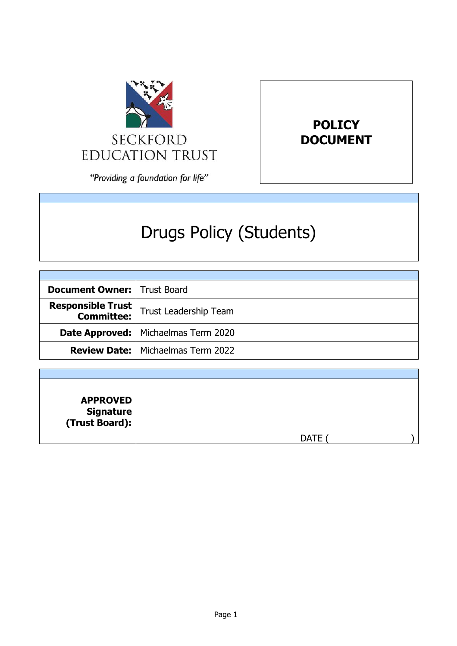



"Providing a foundation for life"

# Drugs Policy (Students)

| <b>Document Owner:   Trust Board</b> |                                                        |
|--------------------------------------|--------------------------------------------------------|
|                                      | <b>Responsible Trust</b> $\vert$ Trust Leadership Team |
|                                      | <b>Date Approved:</b>   Michaelmas Term 2020           |
|                                      | <b>Review Date:   Michaelmas Term 2022</b>             |

| <b>APPROVED</b><br>  Signature<br>  (Trust Board): |             |  |
|----------------------------------------------------|-------------|--|
|                                                    | <b>DATE</b> |  |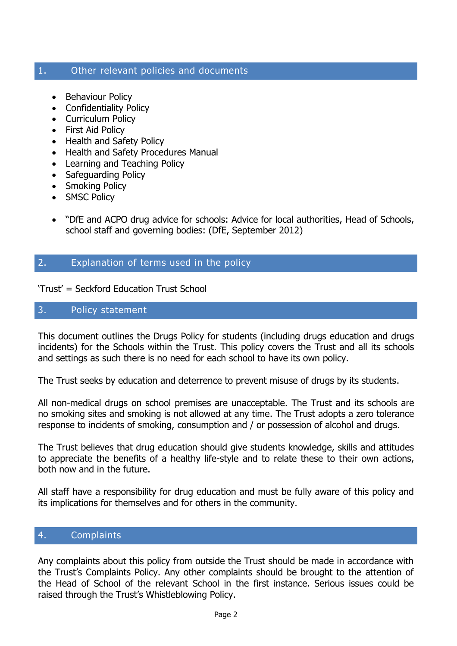## 1. Other relevant policies and documents

- Behaviour Policy
- Confidentiality Policy
- Curriculum Policy
- First Aid Policy
- Health and Safety Policy
- Health and Safety Procedures Manual
- Learning and Teaching Policy
- Safeguarding Policy
- Smoking Policy
- SMSC Policy
- "DfE and ACPO drug advice for schools: Advice for local authorities, Head of Schools, school staff and governing bodies: (DfE, September 2012)

## 2. Explanation of terms used in the policy

'Trust' = Seckford Education Trust School

## 3. Policy statement

This document outlines the Drugs Policy for students (including drugs education and drugs incidents) for the Schools within the Trust. This policy covers the Trust and all its schools and settings as such there is no need for each school to have its own policy.

The Trust seeks by education and deterrence to prevent misuse of drugs by its students.

All non-medical drugs on school premises are unacceptable. The Trust and its schools are no smoking sites and smoking is not allowed at any time. The Trust adopts a zero tolerance response to incidents of smoking, consumption and / or possession of alcohol and drugs.

The Trust believes that drug education should give students knowledge, skills and attitudes to appreciate the benefits of a healthy life-style and to relate these to their own actions, both now and in the future.

All staff have a responsibility for drug education and must be fully aware of this policy and its implications for themselves and for others in the community.

## 4. Complaints

Any complaints about this policy from outside the Trust should be made in accordance with the Trust's Complaints Policy. Any other complaints should be brought to the attention of the Head of School of the relevant School in the first instance. Serious issues could be raised through the Trust's Whistleblowing Policy.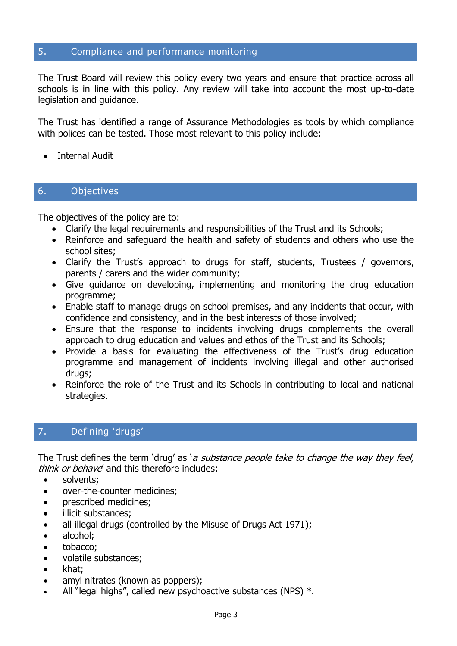## 5. Compliance and performance monitoring

The Trust Board will review this policy every two years and ensure that practice across all schools is in line with this policy. Any review will take into account the most up-to-date legislation and guidance.

The Trust has identified a range of Assurance Methodologies as tools by which compliance with polices can be tested. Those most relevant to this policy include:

Internal Audit

# 6. Objectives

The objectives of the policy are to:

- Clarify the legal requirements and responsibilities of the Trust and its Schools;
- Reinforce and safeguard the health and safety of students and others who use the school sites;
- Clarify the Trust's approach to drugs for staff, students, Trustees / governors, parents / carers and the wider community;
- Give guidance on developing, implementing and monitoring the drug education programme;
- Enable staff to manage drugs on school premises, and any incidents that occur, with confidence and consistency, and in the best interests of those involved;
- Ensure that the response to incidents involving drugs complements the overall approach to drug education and values and ethos of the Trust and its Schools;
- Provide a basis for evaluating the effectiveness of the Trust's drug education programme and management of incidents involving illegal and other authorised drugs;
- Reinforce the role of the Trust and its Schools in contributing to local and national strategies.

# 7. Defining 'drugs'

The Trust defines the term 'drug' as 'a substance people take to change the way they feel, think or behave' and this therefore includes:

- solvents;
- over-the-counter medicines;
- prescribed medicines;
- illicit substances;
- all illegal drugs (controlled by the Misuse of Drugs Act 1971);
- alcohol:
- tobacco;
- volatile substances;
- khat;
- amyl nitrates (known as poppers);
- All "legal highs", called new psychoactive substances (NPS)  $*$ .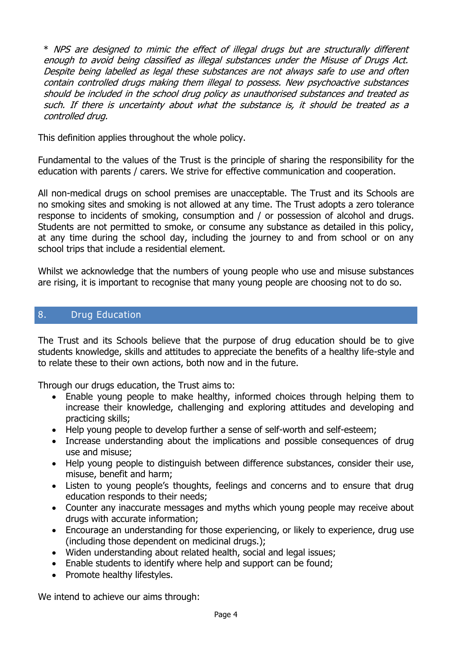\* NPS are designed to mimic the effect of illegal drugs but are structurally different enough to avoid being classified as illegal substances under the Misuse of Drugs Act. Despite being labelled as legal these substances are not always safe to use and often contain controlled drugs making them illegal to possess. New psychoactive substances should be included in the school drug policy as unauthorised substances and treated as such. If there is uncertainty about what the substance is, it should be treated as a controlled drug.

This definition applies throughout the whole policy.

Fundamental to the values of the Trust is the principle of sharing the responsibility for the education with parents / carers. We strive for effective communication and cooperation.

All non-medical drugs on school premises are unacceptable. The Trust and its Schools are no smoking sites and smoking is not allowed at any time. The Trust adopts a zero tolerance response to incidents of smoking, consumption and / or possession of alcohol and drugs. Students are not permitted to smoke, or consume any substance as detailed in this policy, at any time during the school day, including the journey to and from school or on any school trips that include a residential element.

Whilst we acknowledge that the numbers of young people who use and misuse substances are rising, it is important to recognise that many young people are choosing not to do so.

#### 8. Drug Education

The Trust and its Schools believe that the purpose of drug education should be to give students knowledge, skills and attitudes to appreciate the benefits of a healthy life-style and to relate these to their own actions, both now and in the future.

Through our drugs education, the Trust aims to:

- Enable young people to make healthy, informed choices through helping them to increase their knowledge, challenging and exploring attitudes and developing and practicing skills;
- Help young people to develop further a sense of self-worth and self-esteem;
- Increase understanding about the implications and possible consequences of drug use and misuse;
- Help young people to distinguish between difference substances, consider their use, misuse, benefit and harm;
- Listen to young people's thoughts, feelings and concerns and to ensure that drug education responds to their needs;
- Counter any inaccurate messages and myths which young people may receive about drugs with accurate information;
- Encourage an understanding for those experiencing, or likely to experience, drug use (including those dependent on medicinal drugs.);
- Widen understanding about related health, social and legal issues;
- Enable students to identify where help and support can be found;
- Promote healthy lifestyles.

We intend to achieve our aims through: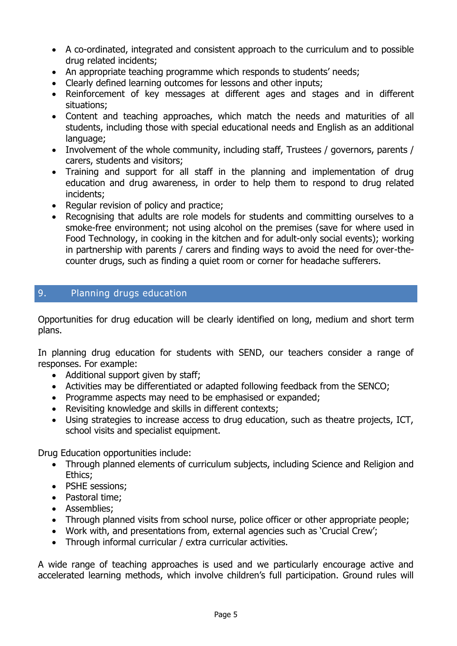- A co-ordinated, integrated and consistent approach to the curriculum and to possible drug related incidents;
- An appropriate teaching programme which responds to students' needs;
- Clearly defined learning outcomes for lessons and other inputs;
- Reinforcement of key messages at different ages and stages and in different situations;
- Content and teaching approaches, which match the needs and maturities of all students, including those with special educational needs and English as an additional language;
- Involvement of the whole community, including staff, Trustees / governors, parents / carers, students and visitors;
- Training and support for all staff in the planning and implementation of drug education and drug awareness, in order to help them to respond to drug related incidents;
- Regular revision of policy and practice;
- Recognising that adults are role models for students and committing ourselves to a smoke-free environment; not using alcohol on the premises (save for where used in Food Technology, in cooking in the kitchen and for adult-only social events); working in partnership with parents / carers and finding ways to avoid the need for over-thecounter drugs, such as finding a quiet room or corner for headache sufferers.

# 9. Planning drugs education

Opportunities for drug education will be clearly identified on long, medium and short term plans.

In planning drug education for students with SEND, our teachers consider a range of responses. For example:

- Additional support given by staff;
- Activities may be differentiated or adapted following feedback from the SENCO;
- Programme aspects may need to be emphasised or expanded;
- Revisiting knowledge and skills in different contexts;
- Using strategies to increase access to drug education, such as theatre projects, ICT, school visits and specialist equipment.

Drug Education opportunities include:

- Through planned elements of curriculum subjects, including Science and Religion and Ethics;
- PSHE sessions;
- Pastoral time;
- Assemblies:
- Through planned visits from school nurse, police officer or other appropriate people;
- Work with, and presentations from, external agencies such as 'Crucial Crew';
- Through informal curricular / extra curricular activities.

A wide range of teaching approaches is used and we particularly encourage active and accelerated learning methods, which involve children's full participation. Ground rules will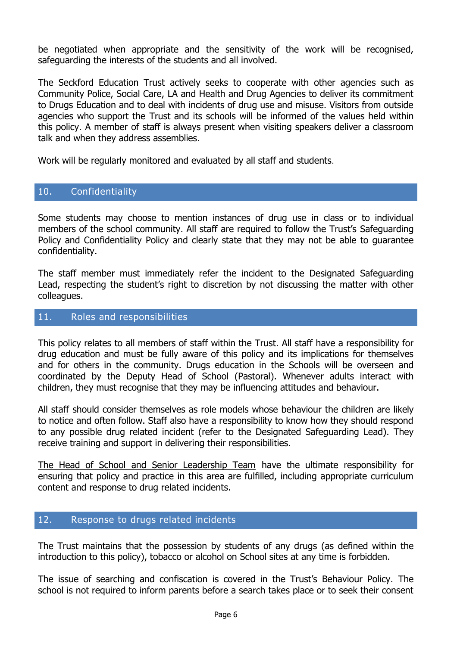be negotiated when appropriate and the sensitivity of the work will be recognised, safeguarding the interests of the students and all involved.

The Seckford Education Trust actively seeks to cooperate with other agencies such as Community Police, Social Care, LA and Health and Drug Agencies to deliver its commitment to Drugs Education and to deal with incidents of drug use and misuse. Visitors from outside agencies who support the Trust and its schools will be informed of the values held within this policy. A member of staff is always present when visiting speakers deliver a classroom talk and when they address assemblies.

Work will be regularly monitored and evaluated by all staff and students.

# 10. Confidentiality

Some students may choose to mention instances of drug use in class or to individual members of the school community. All staff are required to follow the Trust's Safeguarding Policy and Confidentiality Policy and clearly state that they may not be able to guarantee confidentiality.

The staff member must immediately refer the incident to the Designated Safeguarding Lead, respecting the student's right to discretion by not discussing the matter with other colleagues.

## 11. Roles and responsibilities

This policy relates to all members of staff within the Trust. All staff have a responsibility for drug education and must be fully aware of this policy and its implications for themselves and for others in the community. Drugs education in the Schools will be overseen and coordinated by the Deputy Head of School (Pastoral). Whenever adults interact with children, they must recognise that they may be influencing attitudes and behaviour.

All staff should consider themselves as role models whose behaviour the children are likely to notice and often follow. Staff also have a responsibility to know how they should respond to any possible drug related incident (refer to the Designated Safeguarding Lead). They receive training and support in delivering their responsibilities.

The Head of School and Senior Leadership Team have the ultimate responsibility for ensuring that policy and practice in this area are fulfilled, including appropriate curriculum content and response to drug related incidents.

## 12. Response to drugs related incidents

The Trust maintains that the possession by students of any drugs (as defined within the introduction to this policy), tobacco or alcohol on School sites at any time is forbidden.

The issue of searching and confiscation is covered in the Trust's Behaviour Policy. The school is not required to inform parents before a search takes place or to seek their consent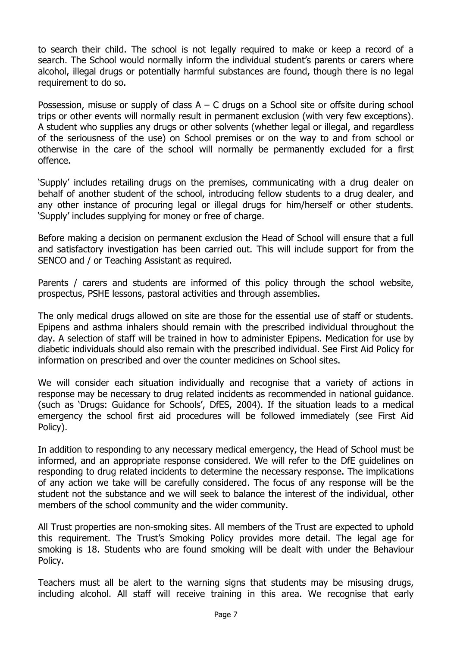to search their child. The school is not legally required to make or keep a record of a search. The School would normally inform the individual student's parents or carers where alcohol, illegal drugs or potentially harmful substances are found, though there is no legal requirement to do so.

Possession, misuse or supply of class  $A - C$  drugs on a School site or offsite during school trips or other events will normally result in permanent exclusion (with very few exceptions). A student who supplies any drugs or other solvents (whether legal or illegal, and regardless of the seriousness of the use) on School premises or on the way to and from school or otherwise in the care of the school will normally be permanently excluded for a first offence.

'Supply' includes retailing drugs on the premises, communicating with a drug dealer on behalf of another student of the school, introducing fellow students to a drug dealer, and any other instance of procuring legal or illegal drugs for him/herself or other students. 'Supply' includes supplying for money or free of charge.

Before making a decision on permanent exclusion the Head of School will ensure that a full and satisfactory investigation has been carried out. This will include support for from the SENCO and / or Teaching Assistant as required.

Parents / carers and students are informed of this policy through the school website, prospectus, PSHE lessons, pastoral activities and through assemblies.

The only medical drugs allowed on site are those for the essential use of staff or students. Epipens and asthma inhalers should remain with the prescribed individual throughout the day. A selection of staff will be trained in how to administer Epipens. Medication for use by diabetic individuals should also remain with the prescribed individual. See First Aid Policy for information on prescribed and over the counter medicines on School sites.

We will consider each situation individually and recognise that a variety of actions in response may be necessary to drug related incidents as recommended in national guidance. (such as 'Drugs: Guidance for Schools', DfES, 2004). If the situation leads to a medical emergency the school first aid procedures will be followed immediately (see First Aid Policy).

In addition to responding to any necessary medical emergency, the Head of School must be informed, and an appropriate response considered. We will refer to the DfE guidelines on responding to drug related incidents to determine the necessary response. The implications of any action we take will be carefully considered. The focus of any response will be the student not the substance and we will seek to balance the interest of the individual, other members of the school community and the wider community.

All Trust properties are non-smoking sites. All members of the Trust are expected to uphold this requirement. The Trust's Smoking Policy provides more detail. The legal age for smoking is 18. Students who are found smoking will be dealt with under the Behaviour Policy.

Teachers must all be alert to the warning signs that students may be misusing drugs, including alcohol. All staff will receive training in this area. We recognise that early